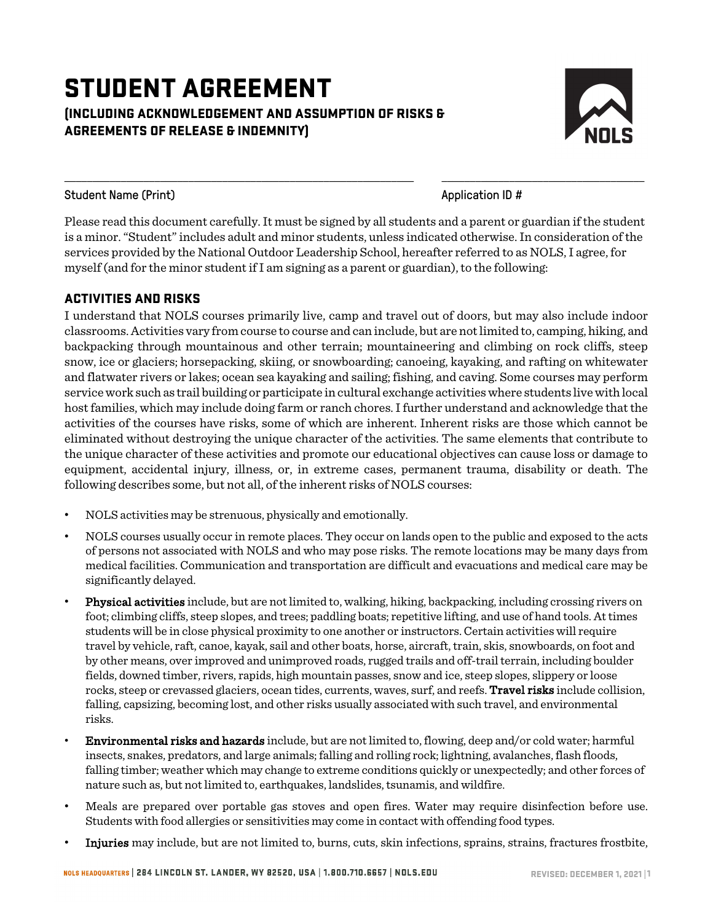# STUDENT AGREEMENT (INCLUDING ACKNOWLEDGEMENT AND ASSUMPTION OF RISKS & AGREEMENTS OF RELEASE & INDEMNITY)



Student Name (Print) Application ID #

Please read this document carefully. It must be signed by all students and a parent or guardian if the student is a minor. "Student" includes adult and minor students, unless indicated otherwise. In consideration of the services provided by the National Outdoor Leadership School, hereafter referred to as NOLS, I agree, for myself (and for the minor student if I am signing as a parent or guardian), to the following:

\_\_\_\_\_\_\_\_\_\_\_\_\_\_\_\_\_\_\_\_\_\_\_\_\_\_\_\_\_\_\_\_\_\_\_\_\_\_\_\_\_\_\_\_\_\_\_\_\_\_\_\_\_\_\_\_\_\_\_\_\_\_ \_\_\_\_\_\_\_\_\_\_\_\_\_\_\_\_\_\_\_\_\_\_\_\_\_\_\_\_\_\_\_\_\_\_\_\_

# ACTIVITIES AND RISKS

I understand that NOLS courses primarily live, camp and travel out of doors, but may also include indoor classrooms. Activities vary from course to course and can include, but are not limited to, camping, hiking, and backpacking through mountainous and other terrain; mountaineering and climbing on rock cliffs, steep snow, ice or glaciers; horsepacking, skiing, or snowboarding; canoeing, kayaking, and rafting on whitewater and flatwater rivers or lakes; ocean sea kayaking and sailing; fishing, and caving. Some courses may perform service work such as trail building or participate in cultural exchange activities where students live with local host families, which may include doing farm or ranch chores. I further understand and acknowledge that the activities of the courses have risks, some of which are inherent. Inherent risks are those which cannot be eliminated without destroying the unique character of the activities. The same elements that contribute to the unique character of these activities and promote our educational objectives can cause loss or damage to equipment, accidental injury, illness, or, in extreme cases, permanent trauma, disability or death. The following describes some, but not all, of the inherent risks of NOLS courses:

- NOLS activities may be strenuous, physically and emotionally.
- NOLS courses usually occur in remote places. They occur on lands open to the public and exposed to the acts of persons not associated with NOLS and who may pose risks. The remote locations may be many days from medical facilities. Communication and transportation are difficult and evacuations and medical care may be significantly delayed.
- Physical activities include, but are not limited to, walking, hiking, backpacking, including crossing rivers on foot; climbing cliffs, steep slopes, and trees; paddling boats; repetitive lifting, and use of hand tools. At times students will be in close physical proximity to one another or instructors. Certain activities will require travel by vehicle, raft, canoe, kayak, sail and other boats, horse, aircraft, train, skis, snowboards, on foot and by other means, over improved and unimproved roads, rugged trails and off-trail terrain, including boulder fields, downed timber, rivers, rapids, high mountain passes, snow and ice, steep slopes, slippery or loose rocks, steep or crevassed glaciers, ocean tides, currents, waves, surf, and reefs. Travel risks include collision, falling, capsizing, becoming lost, and other risks usually associated with such travel, and environmental risks.
- Environmental risks and hazards include, but are not limited to, flowing, deep and/or cold water; harmful insects, snakes, predators, and large animals; falling and rolling rock; lightning, avalanches, flash floods, falling timber; weather which may change to extreme conditions quickly or unexpectedly; and other forces of nature such as, but not limited to, earthquakes, landslides, tsunamis, and wildfire.
- Meals are prepared over portable gas stoves and open fires. Water may require disinfection before use. Students with food allergies or sensitivities may come in contact with offending food types.
- Injuries may include, but are not limited to, burns, cuts, skin infections, sprains, strains, fractures frostbite,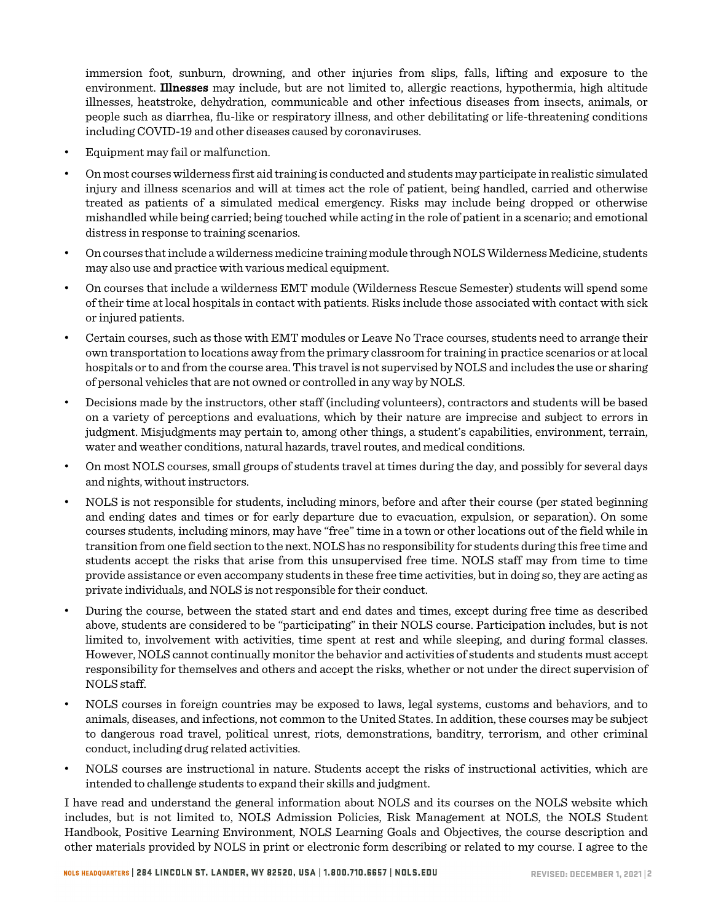immersion foot, sunburn, drowning, and other injuries from slips, falls, lifting and exposure to the environment. Illnesses may include, but are not limited to, allergic reactions, hypothermia, high altitude illnesses, heatstroke, dehydration, communicable and other infectious diseases from insects, animals, or people such as diarrhea, flu-like or respiratory illness, and other debilitating or life-threatening conditions including COVID-19 and other diseases caused by coronaviruses.

- Equipment may fail or malfunction.
- On most courses wilderness first aid training is conducted and students may participate in realistic simulated injury and illness scenarios and will at times act the role of patient, being handled, carried and otherwise treated as patients of a simulated medical emergency. Risks may include being dropped or otherwise mishandled while being carried; being touched while acting in the role of patient in a scenario; and emotional distress in response to training scenarios.
- Oncourses that include a wilderness medicine training module through NOLS Wilderness Medicine, students may also use and practice with various medical equipment.
- On courses that include a wilderness EMT module (Wilderness Rescue Semester) students will spend some of their time at local hospitals in contact with patients. Risks include those associated with contact with sick or injured patients.
- Certain courses, such as those with EMT modules or Leave No Trace courses, students need to arrange their own transportation to locations away from the primary classroom for training in practice scenarios or at local hospitals or to and from the course area. This travel is not supervised by NOLS and includes the use or sharing of personal vehicles that are not owned or controlled in any way by NOLS.
- Decisions made by the instructors, other staff (including volunteers), contractors and students will be based on a variety of perceptions and evaluations, which by their nature are imprecise and subject to errors in judgment. Misjudgments may pertain to, among other things, a student's capabilities, environment, terrain, water and weather conditions, natural hazards, travel routes, and medical conditions.
- On most NOLS courses, small groups of students travel at times during the day, and possibly for several days and nights, without instructors.
- NOLS is not responsible for students, including minors, before and after their course (per stated beginning and ending dates and times or for early departure due to evacuation, expulsion, or separation). On some courses students, including minors, may have "free" time in a town or other locations out of the field while in transition from one field section to the next. NOLS has no responsibility for students during this free time and students accept the risks that arise from this unsupervised free time. NOLS staff may from time to time provide assistance or even accompany students in these free time activities, but in doing so, they are acting as private individuals, and NOLS is not responsible for their conduct.
- During the course, between the stated start and end dates and times, except during free time as described above, students are considered to be "participating" in their NOLS course. Participation includes, but is not limited to, involvement with activities, time spent at rest and while sleeping, and during formal classes. However, NOLS cannot continually monitor the behavior and activities of students and students must accept responsibility for themselves and others and accept the risks, whether or not under the direct supervision of NOLS staff.
- NOLS courses in foreign countries may be exposed to laws, legal systems, customs and behaviors, and to animals, diseases, and infections, not common to the United States. In addition, these courses may be subject to dangerous road travel, political unrest, riots, demonstrations, banditry, terrorism, and other criminal conduct, including drug related activities.
- NOLS courses are instructional in nature. Students accept the risks of instructional activities, which are intended to challenge students to expand their skills and judgment.

I have read and understand the general information about NOLS and its courses on the NOLS website which includes, but is not limited to, NOLS Admission Policies, Risk Management at NOLS, the NOLS Student Handbook, Positive Learning Environment, NOLS Learning Goals and Objectives, the course description and other materials provided by NOLS in print or electronic form describing or related to my course. I agree to the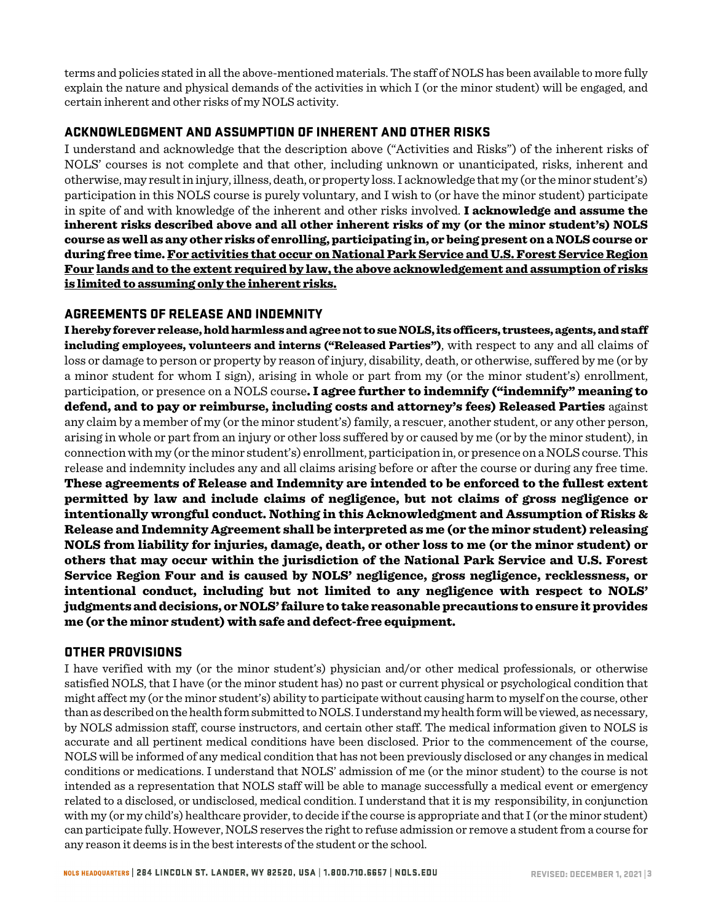terms and policies stated in all the above-mentioned materials. The staff of NOLS has been available to more fully explain the nature and physical demands of the activities in which I (or the minor student) will be engaged, and certain inherent and other risks of my NOLS activity.

#### ACKNOWLEDGMENT AND ASSUMPTION OF INHERENT AND OTHER RISKS

I understand and acknowledge that the description above ("Activities and Risks") of the inherent risks of NOLS' courses is not complete and that other, including unknown or unanticipated, risks, inherent and otherwise, may result in injury, illness, death, or property loss. I acknowledge that my (or the minor student's) participation in this NOLS course is purely voluntary, and I wish to (or have the minor student) participate in spite of and with knowledge of the inherent and other risks involved. **I acknowledge and assume the** inherent risks described above and all other inherent risks of my (or the minor student's) NOLS course as well as any other risks of enrolling, participating in, or being present on a NOLS course or during free time. For activities that occur on National Park Service and U.S. Forest Service Region Four lands and to the extent required by law, the above acknowledgement and assumption of risks is limited to assuming only the inherent risks.

### AGREEMENTS OF RELEASE AND INDEMNITY

I hereby forever release, hold harmless and agree not to sue NOLS, its officers, trustees, agents, and staff including employees, volunteers and interns ("Released Parties"), with respect to any and all claims of loss or damage to person or property by reason of injury, disability, death, or otherwise, suffered by me (or by a minor student for whom I sign), arising in whole or part from my (or the minor student's) enrollment, participation, or presence on a NOLS course. I agree further to indemnify ("indemnify" meaning to defend, and to pay or reimburse, including costs and attorney's fees) Released Parties against any claim by a member of my (or the minor student's) family, a rescuer, another student, or any other person, arising in whole or part from an injury or other loss suffered by or caused by me (or by the minor student), in connection with my (or the minor student's) enrollment, participation in, or presence on a NOLS course. This release and indemnity includes any and all claims arising before or after the course or during any free time. These agreements of Release and Indemnity are intended to be enforced to the fullest extent permitted by law and include claims of negligence, but not claims of gross negligence or intentionally wrongful conduct. Nothing in this Acknowledgment and Assumption of Risks & Release and Indemnity Agreement shall be interpreted as me (or the minor student) releasing NOLS from liability for injuries, damage, death, or other loss to me (or the minor student) or others that may occur within the jurisdiction of the National Park Service and U.S. Forest Service Region Four and is caused by NOLS' negligence, gross negligence, recklessness, or intentional conduct, including but not limited to any negligence with respect to NOLS' judgments and decisions, or NOLS'failure to take reasonable precautions to ensure it provides me (or the minor student) with safe and defect-free equipment.

# OTHER PROVISIONS

I have verified with my (or the minor student's) physician and/or other medical professionals, or otherwise satisfied NOLS, that I have (or the minor student has) no past or current physical or psychological condition that might affect my (or the minor student's) ability to participate without causing harm to myself on the course, other than as described on the health form submitted to NOLS. I understand my health form will be viewed, as necessary, by NOLS admission staff, course instructors, and certain other staff. The medical information given to NOLS is accurate and all pertinent medical conditions have been disclosed. Prior to the commencement of the course, NOLS will be informed of any medical condition that has not been previously disclosed or any changes in medical conditions or medications. I understand that NOLS' admission of me (or the minor student) to the course is not intended as a representation that NOLS staff will be able to manage successfully a medical event or emergency related to a disclosed, or undisclosed, medical condition. I understand that it is my responsibility, in conjunction with my (or my child's) healthcare provider, to decide if the course is appropriate and that I (or the minor student) can participate fully. However, NOLS reserves the right to refuse admission or remove a student from a course for any reason it deems is in the best interests of the student or the school.